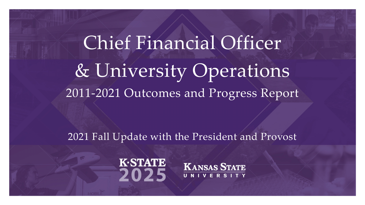Chief Financial Officer & University Operations 2011-2021 Outcomes and Progress Report

2021 Fall Update with the President and Provost



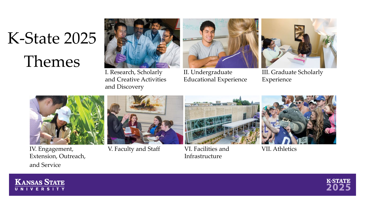### K-State 2025 Themes



I. Research, Scholarly and Creative Activities and Discovery



II. Undergraduate Educational Experience



III. Graduate Scholarly Experience



IV. Engagement, Extension, Outreach, and Service



V. Faculty and Staff VI. Facilities and



Infrastructure



VII. Athletics



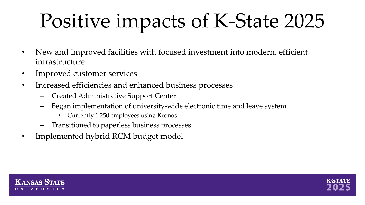## Positive impacts of K-State 2025

- New and improved facilities with focused investment into modern, efficient infrastructure
- Improved customer services
- Increased efficiencies and enhanced business processes
	- Created Administrative Support Center
	- Began implementation of university-wide electronic time and leave system
		- Currently 1,250 employees using Kronos
	- Transitioned to paperless business processes
- Implemented hybrid RCM budget model



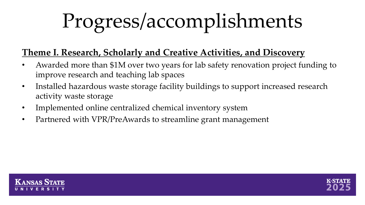#### **Theme I. Research, Scholarly and Creative Activities, and Discovery**

- Awarded more than \$1M over two years for lab safety renovation project funding to improve research and teaching lab spaces
- Installed hazardous waste storage facility buildings to support increased research activity waste storage
- Implemented online centralized chemical inventory system
- Partnered with VPR/PreAwards to streamline grant management



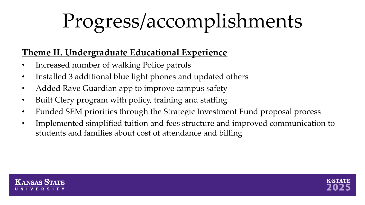#### **Theme II. Undergraduate Educational Experience**

- Increased number of walking Police patrols
- Installed 3 additional blue light phones and updated others
- Added Rave Guardian app to improve campus safety
- Built Clery program with policy, training and staffing
- Funded SEM priorities through the Strategic Investment Fund proposal process
- Implemented simplified tuition and fees structure and improved communication to students and families about cost of attendance and billing



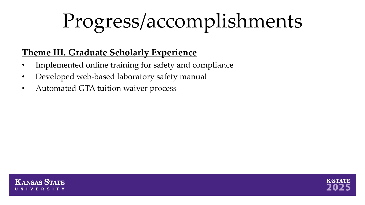#### **Theme III. Graduate Scholarly Experience**

- Implemented online training for safety and compliance
- Developed web-based laboratory safety manual
- Automated GTA tuition waiver process



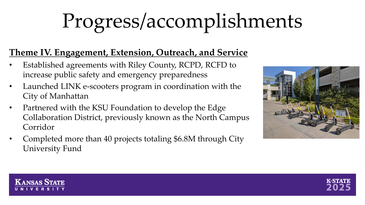#### **Theme IV. Engagement, Extension, Outreach, and Service**

- Established agreements with Riley County, RCPD, RCFD to increase public safety and emergency preparedness
- Launched LINK e-scooters program in coordination with the City of Manhattan
- Partnered with the KSU Foundation to develop the Edge Collaboration District, previously known as the North Campus Corridor
- Completed more than 40 projects totaling \$6.8M through City University Fund





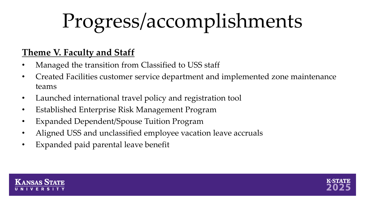#### **Theme V. Faculty and Staff**

- Managed the transition from Classified to USS staff
- Created Facilities customer service department and implemented zone maintenance teams
- Launched international travel policy and registration tool
- Established Enterprise Risk Management Program
- Expanded Dependent/Spouse Tuition Program
- Aligned USS and unclassified employee vacation leave accruals
- Expanded paid parental leave benefit



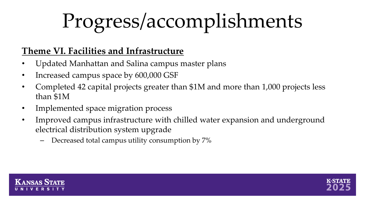#### **Theme VI. Facilities and Infrastructure**

- Updated Manhattan and Salina campus master plans
- Increased campus space by 600,000 GSF
- Completed 42 capital projects greater than \$1M and more than 1,000 projects less than \$1M
- Implemented space migration process
- Improved campus infrastructure with chilled water expansion and underground electrical distribution system upgrade
	- Decreased total campus utility consumption by 7%



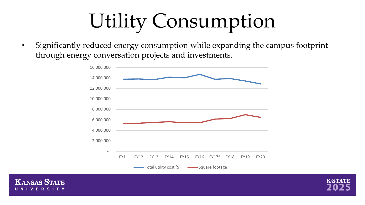### Utility Consumption

• Significantly reduced energy consumption while expanding the campus footprint through energy conversation projects and investments.





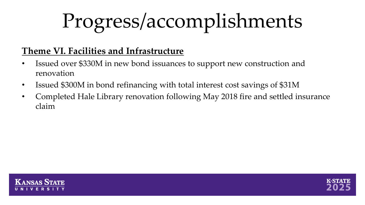#### **Theme VI. Facilities and Infrastructure**

- Issued over \$330M in new bond issuances to support new construction and renovation
- Issued \$300M in bond refinancing with total interest cost savings of \$31M
- Completed Hale Library renovation following May 2018 fire and settled insurance claim



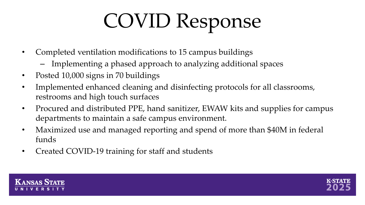### COVID Response

- Completed ventilation modifications to 15 campus buildings
	- Implementing a phased approach to analyzing additional spaces
- Posted 10,000 signs in 70 buildings
- Implemented enhanced cleaning and disinfecting protocols for all classrooms, restrooms and high touch surfaces
- Procured and distributed PPE, hand sanitizer, EWAW kits and supplies for campus departments to maintain a safe campus environment.
- Maximized use and managed reporting and spend of more than \$40M in federal funds
- Created COVID-19 training for staff and students



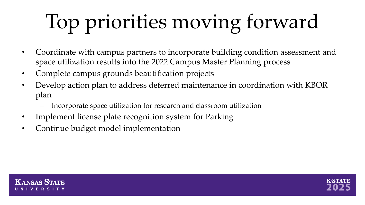# Top priorities moving forward

- Coordinate with campus partners to incorporate building condition assessment and space utilization results into the 2022 Campus Master Planning process
- Complete campus grounds beautification projects
- Develop action plan to address deferred maintenance in coordination with KBOR plan
	- Incorporate space utilization for research and classroom utilization
- Implement license plate recognition system for Parking
- Continue budget model implementation